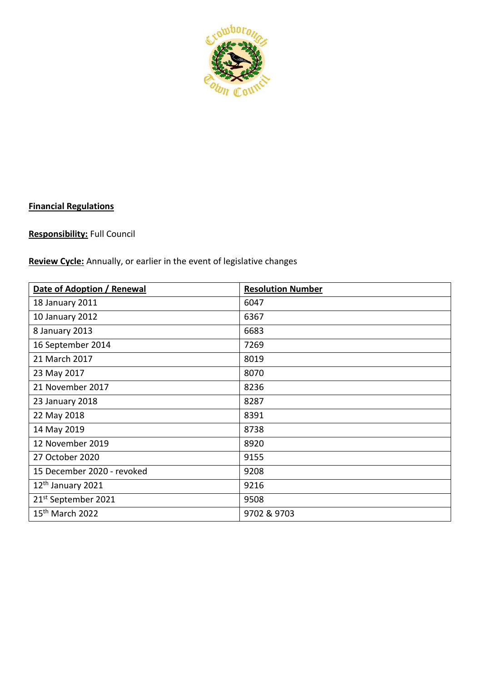

# **Financial Regulations**

## **Responsibility:** Full Council

**Review Cycle:** Annually, or earlier in the event of legislative changes

| Date of Adoption / Renewal      | <b>Resolution Number</b> |
|---------------------------------|--------------------------|
| 18 January 2011                 | 6047                     |
| 10 January 2012                 | 6367                     |
| 8 January 2013                  | 6683                     |
| 16 September 2014               | 7269                     |
| 21 March 2017                   | 8019                     |
| 23 May 2017                     | 8070                     |
| 21 November 2017                | 8236                     |
| 23 January 2018                 | 8287                     |
| 22 May 2018                     | 8391                     |
| 14 May 2019                     | 8738                     |
| 12 November 2019                | 8920                     |
| 27 October 2020                 | 9155                     |
| 15 December 2020 - revoked      | 9208                     |
| 12th January 2021               | 9216                     |
| 21 <sup>st</sup> September 2021 | 9508                     |
| 15 <sup>th</sup> March 2022     | 9702 & 9703              |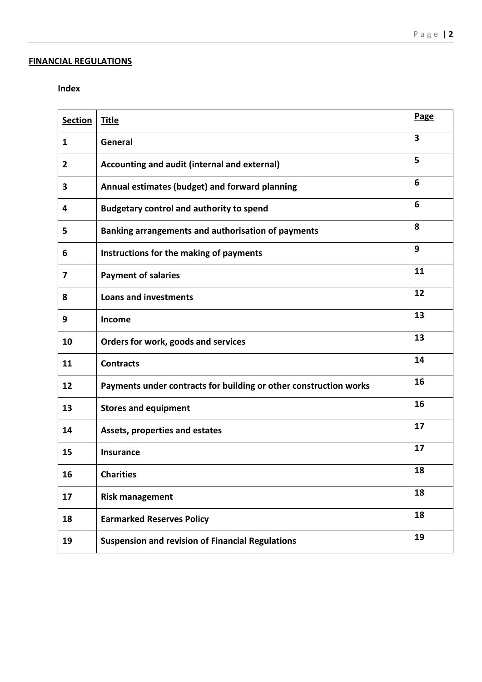## **FINANCIAL REGULATIONS**

## **Index**

| <b>Section</b> | <b>Title</b>                                                      |                         |
|----------------|-------------------------------------------------------------------|-------------------------|
| 1              | General                                                           | $\overline{\mathbf{3}}$ |
| 2              | Accounting and audit (internal and external)                      | 5                       |
| 3              | Annual estimates (budget) and forward planning                    | 6                       |
| 4              | <b>Budgetary control and authority to spend</b>                   | 6                       |
| 5              | Banking arrangements and authorisation of payments                | 8                       |
| 6              | Instructions for the making of payments                           | 9                       |
| 7              | <b>Payment of salaries</b>                                        | 11                      |
| 8              | <b>Loans and investments</b>                                      | 12                      |
| 9              | Income                                                            | 13                      |
| 10             | Orders for work, goods and services                               | 13                      |
| 11             | <b>Contracts</b>                                                  | 14                      |
| 12             | Payments under contracts for building or other construction works | 16                      |
| 13             | <b>Stores and equipment</b>                                       | 16                      |
| 14             | Assets, properties and estates                                    | 17                      |
| 15             | <b>Insurance</b>                                                  | 17                      |
| 16             | <b>Charities</b>                                                  | 18                      |
| 17             | <b>Risk management</b>                                            | 18                      |
| 18             | <b>Earmarked Reserves Policy</b>                                  | 18                      |
| 19             | <b>Suspension and revision of Financial Regulations</b>           | 19                      |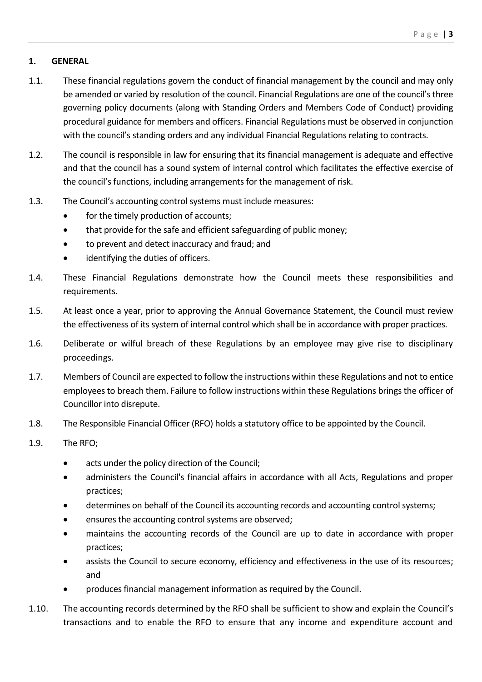## **1. GENERAL**

- 1.1. These financial regulations govern the conduct of financial management by the council and may only be amended or varied by resolution of the council. Financial Regulations are one of the council's three governing policy documents (along with Standing Orders and Members Code of Conduct) providing procedural guidance for members and officers. Financial Regulations must be observed in conjunction with the council's standing orders and any individual Financial Regulations relating to contracts.
- 1.2. The council is responsible in law for ensuring that its financial management is adequate and effective and that the council has a sound system of internal control which facilitates the effective exercise of the council's functions, including arrangements for the management of risk.
- 1.3. The Council's accounting control systems must include measures:
	- for the timely production of accounts;
	- that provide for the safe and efficient safeguarding of public money;
	- to prevent and detect inaccuracy and fraud; and
	- identifying the duties of officers.
- 1.4. These Financial Regulations demonstrate how the Council meets these responsibilities and requirements.
- 1.5. At least once a year, prior to approving the Annual Governance Statement, the Council must review the effectiveness of its system of internal control which shall be in accordance with proper practices.
- 1.6. Deliberate or wilful breach of these Regulations by an employee may give rise to disciplinary proceedings.
- 1.7. Members of Council are expected to follow the instructions within these Regulations and not to entice employees to breach them. Failure to follow instructions within these Regulations brings the officer of Councillor into disrepute.
- 1.8. The Responsible Financial Officer (RFO) holds a statutory office to be appointed by the Council.
- 1.9. The RFO;
	- acts under the policy direction of the Council;
	- administers the Council's financial affairs in accordance with all Acts, Regulations and proper practices;
	- determines on behalf of the Council its accounting records and accounting control systems;
	- ensures the accounting control systems are observed:
	- maintains the accounting records of the Council are up to date in accordance with proper practices;
	- assists the Council to secure economy, efficiency and effectiveness in the use of its resources; and
	- produces financial management information as required by the Council.
- 1.10. The accounting records determined by the RFO shall be sufficient to show and explain the Council's transactions and to enable the RFO to ensure that any income and expenditure account and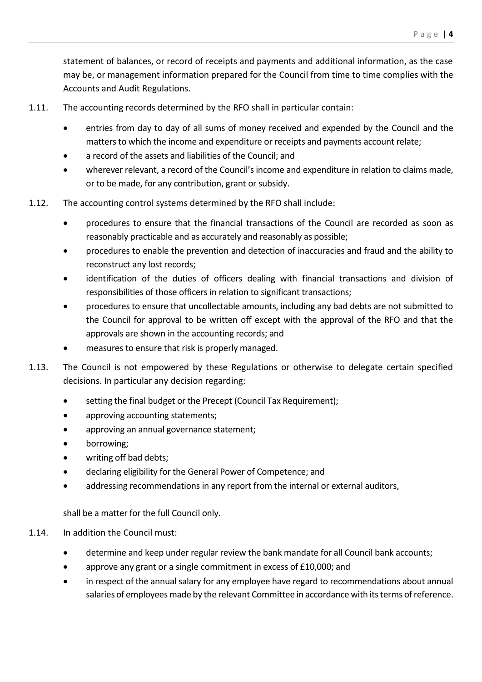statement of balances, or record of receipts and payments and additional information, as the case may be, or management information prepared for the Council from time to time complies with the Accounts and Audit Regulations.

- 1.11. The accounting records determined by the RFO shall in particular contain:
	- entries from day to day of all sums of money received and expended by the Council and the matters to which the income and expenditure or receipts and payments account relate;
	- a record of the assets and liabilities of the Council; and
	- wherever relevant, a record of the Council's income and expenditure in relation to claims made, or to be made, for any contribution, grant or subsidy.
- 1.12. The accounting control systems determined by the RFO shall include:
	- procedures to ensure that the financial transactions of the Council are recorded as soon as reasonably practicable and as accurately and reasonably as possible;
	- procedures to enable the prevention and detection of inaccuracies and fraud and the ability to reconstruct any lost records;
	- identification of the duties of officers dealing with financial transactions and division of responsibilities of those officers in relation to significant transactions;
	- procedures to ensure that uncollectable amounts, including any bad debts are not submitted to the Council for approval to be written off except with the approval of the RFO and that the approvals are shown in the accounting records; and
	- measures to ensure that risk is properly managed.
- 1.13. The Council is not empowered by these Regulations or otherwise to delegate certain specified decisions. In particular any decision regarding:
	- setting the final budget or the Precept (Council Tax Requirement);
	- approving accounting statements;
	- approving an annual governance statement;
	- borrowing;
	- writing off bad debts;
	- declaring eligibility for the General Power of Competence; and
	- addressing recommendations in any report from the internal or external auditors,

shall be a matter for the full Council only.

### 1.14. In addition the Council must:

- determine and keep under regular review the bank mandate for all Council bank accounts;
- approve any grant or a single commitment in excess of £10,000; and
- in respect of the annual salary for any employee have regard to recommendations about annual salaries of employees made by the relevant Committee in accordance with its terms of reference.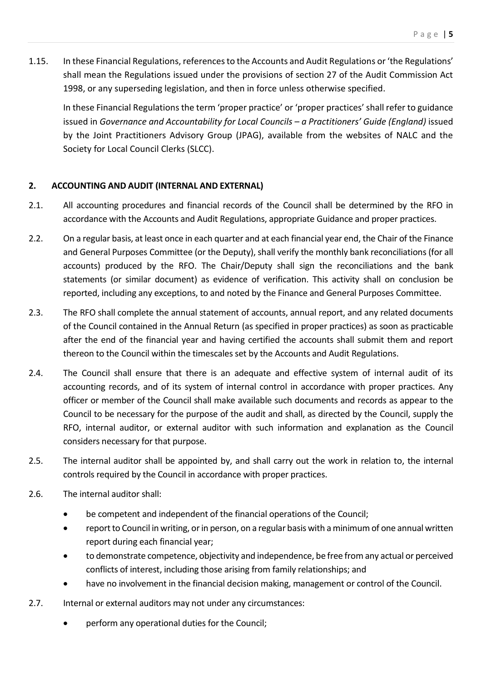1.15. In these Financial Regulations, references to the Accounts and Audit Regulations or 'the Regulations' shall mean the Regulations issued under the provisions of section 27 of the Audit Commission Act 1998, or any superseding legislation, and then in force unless otherwise specified.

In these Financial Regulations the term 'proper practice' or 'proper practices' shall refer to guidance issued in *Governance and Accountability for Local Councils - a Practitioners' Guide (England)* issued by the Joint Practitioners Advisory Group (JPAG), available from the websites of NALC and the Society for Local Council Clerks (SLCC).

## **2. ACCOUNTING AND AUDIT (INTERNAL AND EXTERNAL)**

- 2.1. All accounting procedures and financial records of the Council shall be determined by the RFO in accordance with the Accounts and Audit Regulations, appropriate Guidance and proper practices.
- 2.2. On a regular basis, at least once in each quarter and at each financial year end, the Chair of the Finance and General Purposes Committee (or the Deputy), shall verify the monthly bank reconciliations (for all accounts) produced by the RFO. The Chair/Deputy shall sign the reconciliations and the bank statements (or similar document) as evidence of verification. This activity shall on conclusion be reported, including any exceptions, to and noted by the Finance and General Purposes Committee.
- 2.3. The RFO shall complete the annual statement of accounts, annual report, and any related documents of the Council contained in the Annual Return (as specified in proper practices) as soon as practicable after the end of the financial year and having certified the accounts shall submit them and report thereon to the Council within the timescales set by the Accounts and Audit Regulations.
- 2.4. The Council shall ensure that there is an adequate and effective system of internal audit of its accounting records, and of its system of internal control in accordance with proper practices. Any officer or member of the Council shall make available such documents and records as appear to the Council to be necessary for the purpose of the audit and shall, as directed by the Council, supply the RFO, internal auditor, or external auditor with such information and explanation as the Council considers necessary for that purpose.
- 2.5. The internal auditor shall be appointed by, and shall carry out the work in relation to, the internal controls required by the Council in accordance with proper practices.
- 2.6. The internal auditor shall:
	- be competent and independent of the financial operations of the Council;
	- report to Council in writing, or in person, on a regular basis with a minimum of one annual written report during each financial year;
	- to demonstrate competence, objectivity and independence, be free from any actual or perceived conflicts of interest, including those arising from family relationships; and
	- have no involvement in the financial decision making, management or control of the Council.
- 2.7. Internal or external auditors may not under any circumstances:
	- perform any operational duties for the Council;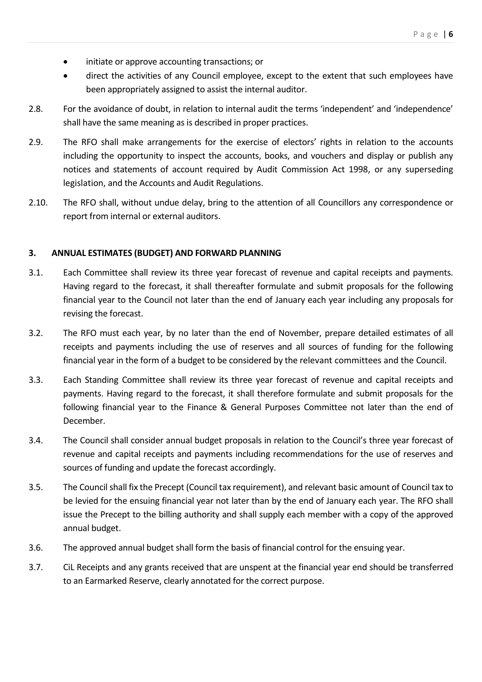- initiate or approve accounting transactions; or
- direct the activities of any Council employee, except to the extent that such employees have been appropriately assigned to assist the internal auditor.
- 2.8. For the avoidance of doubt, in relation to internal audit the terms 'independent' and 'independence' shall have the same meaning as is described in proper practices.
- 2.9. The RFO shall make arrangements for the exercise of electors' rights in relation to the accounts including the opportunity to inspect the accounts, books, and vouchers and display or publish any notices and statements of account required by Audit Commission Act 1998, or any superseding legislation, and the Accounts and Audit Regulations.
- 2.10. The RFO shall, without undue delay, bring to the attention of all Councillors any correspondence or report from internal or external auditors.

#### **3. ANNUAL ESTIMATES (BUDGET) AND FORWARD PLANNING**

- 3.1. Each Committee shall review its three year forecast of revenue and capital receipts and payments. Having regard to the forecast, it shall thereafter formulate and submit proposals for the following financial year to the Council not later than the end of January each year including any proposals for revising the forecast.
- 3.2. The RFO must each year, by no later than the end of November, prepare detailed estimates of all receipts and payments including the use of reserves and all sources of funding for the following financial year in the form of a budget to be considered by the relevant committees and the Council.
- 3.3. Each Standing Committee shall review its three year forecast of revenue and capital receipts and payments. Having regard to the forecast, it shall therefore formulate and submit proposals for the following financial year to the Finance & General Purposes Committee not later than the end of December.
- 3.4. The Council shall consider annual budget proposals in relation to the Council's three year forecast of revenue and capital receipts and payments including recommendations for the use of reserves and sources of funding and update the forecast accordingly.
- 3.5. The Councilshall fix the Precept (Council tax requirement), and relevant basic amount of Council tax to be levied for the ensuing financial year not later than by the end of January each year. The RFO shall issue the Precept to the billing authority and shall supply each member with a copy of the approved annual budget.
- 3.6. The approved annual budget shall form the basis of financial control for the ensuing year.
- 3.7. CiL Receipts and any grants received that are unspent at the financial year end should be transferred to an Earmarked Reserve, clearly annotated for the correct purpose.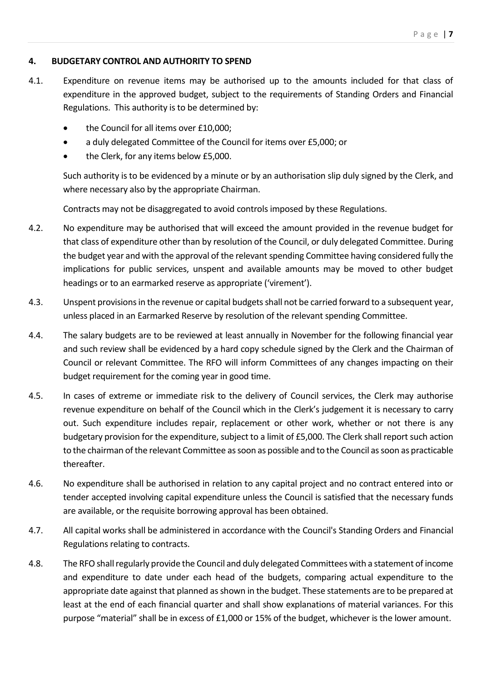#### **4. BUDGETARY CONTROL AND AUTHORITY TO SPEND**

- 4.1. Expenditure on revenue items may be authorised up to the amounts included for that class of expenditure in the approved budget, subject to the requirements of Standing Orders and Financial Regulations. This authority is to be determined by:
	- the Council for all items over £10,000;
	- a duly delegated Committee of the Council for items over £5,000; or
	- the Clerk, for any items below £5,000.

Such authority is to be evidenced by a minute or by an authorisation slip duly signed by the Clerk, and where necessary also by the appropriate Chairman.

Contracts may not be disaggregated to avoid controls imposed by these Regulations.

- 4.2. No expenditure may be authorised that will exceed the amount provided in the revenue budget for that class of expenditure other than by resolution of the Council, or duly delegated Committee. During the budget year and with the approval of the relevant spending Committee having considered fully the implications for public services, unspent and available amounts may be moved to other budget headings or to an earmarked reserve as appropriate ('virement').
- 4.3. Unspent provisions in the revenue or capital budgets shall not be carried forward to a subsequent year, unless placed in an Earmarked Reserve by resolution of the relevant spending Committee.
- 4.4. The salary budgets are to be reviewed at least annually in November for the following financial year and such review shall be evidenced by a hard copy schedule signed by the Clerk and the Chairman of Council or relevant Committee. The RFO will inform Committees of any changes impacting on their budget requirement for the coming year in good time.
- 4.5. In cases of extreme or immediate risk to the delivery of Council services, the Clerk may authorise revenue expenditure on behalf of the Council which in the Clerk's judgement it is necessary to carry out. Such expenditure includes repair, replacement or other work, whether or not there is any budgetary provision for the expenditure, subject to a limit of £5,000. The Clerk shall report such action to the chairman of the relevant Committee as soon as possible and to the Council as soon as practicable thereafter.
- 4.6. No expenditure shall be authorised in relation to any capital project and no contract entered into or tender accepted involving capital expenditure unless the Council is satisfied that the necessary funds are available, or the requisite borrowing approval has been obtained.
- 4.7. All capital works shall be administered in accordance with the Council's Standing Orders and Financial Regulations relating to contracts.
- 4.8. The RFO shall regularly provide the Council and duly delegated Committees with a statement of income and expenditure to date under each head of the budgets, comparing actual expenditure to the appropriate date against that planned as shown in the budget. These statements are to be prepared at least at the end of each financial quarter and shall show explanations of material variances. For this purpose "material" shall be in excess of £1,000 or 15% of the budget, whichever is the lower amount.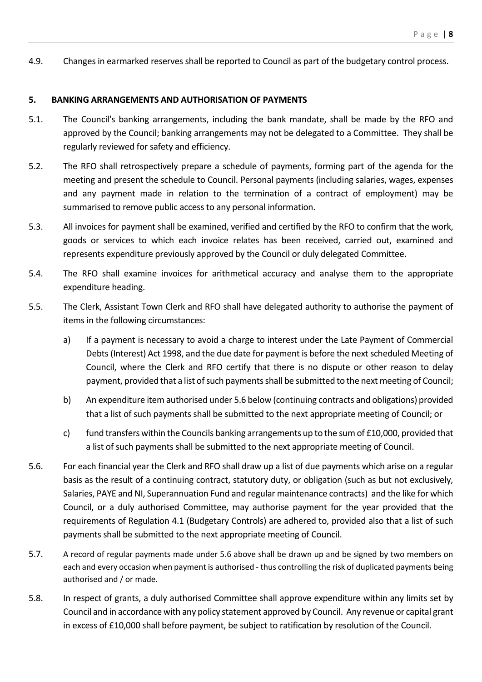4.9. Changes in earmarked reserves shall be reported to Council as part of the budgetary control process.

#### **5. BANKING ARRANGEMENTS AND AUTHORISATION OF PAYMENTS**

- 5.1. The Council's banking arrangements, including the bank mandate, shall be made by the RFO and approved by the Council; banking arrangements may not be delegated to a Committee. They shall be regularly reviewed for safety and efficiency.
- 5.2. The RFO shall retrospectively prepare a schedule of payments, forming part of the agenda for the meeting and present the schedule to Council. Personal payments (including salaries, wages, expenses and any payment made in relation to the termination of a contract of employment) may be summarised to remove public access to any personal information.
- 5.3. All invoices for payment shall be examined, verified and certified by the RFO to confirm that the work, goods or services to which each invoice relates has been received, carried out, examined and represents expenditure previously approved by the Council or duly delegated Committee.
- 5.4. The RFO shall examine invoices for arithmetical accuracy and analyse them to the appropriate expenditure heading.
- 5.5. The Clerk, Assistant Town Clerk and RFO shall have delegated authority to authorise the payment of items in the following circumstances:
	- a) If a payment is necessary to avoid a charge to interest under the Late Payment of Commercial Debts (Interest) Act 1998, and the due date for payment is before the next scheduled Meeting of Council, where the Clerk and RFO certify that there is no dispute or other reason to delay payment, provided that a list of such payments shall be submitted to the next meeting of Council;
	- b) An expenditure item authorised under 5.6 below (continuing contracts and obligations) provided that a list of such payments shall be submitted to the next appropriate meeting of Council; or
	- c) fund transfers within the Councils banking arrangements up to the sum of  $£10,000$ , provided that a list of such payments shall be submitted to the next appropriate meeting of Council.
- 5.6. For each financial year the Clerk and RFO shall draw up a list of due payments which arise on a regular basis as the result of a continuing contract, statutory duty, or obligation (such as but not exclusively, Salaries, PAYE and NI, Superannuation Fund and regular maintenance contracts) and the like for which Council, or a duly authorised Committee, may authorise payment for the year provided that the requirements of Regulation 4.1 (Budgetary Controls) are adhered to, provided also that a list of such payments shall be submitted to the next appropriate meeting of Council.
- 5.7. A record of regular payments made under 5.6 above shall be drawn up and be signed by two members on each and every occasion when payment is authorised - thus controlling the risk of duplicated payments being authorised and / or made.
- 5.8. In respect of grants, a duly authorised Committee shall approve expenditure within any limits set by Council and in accordance with any policy statement approved by Council. Any revenue or capital grant in excess of £10,000 shall before payment, be subject to ratification by resolution of the Council.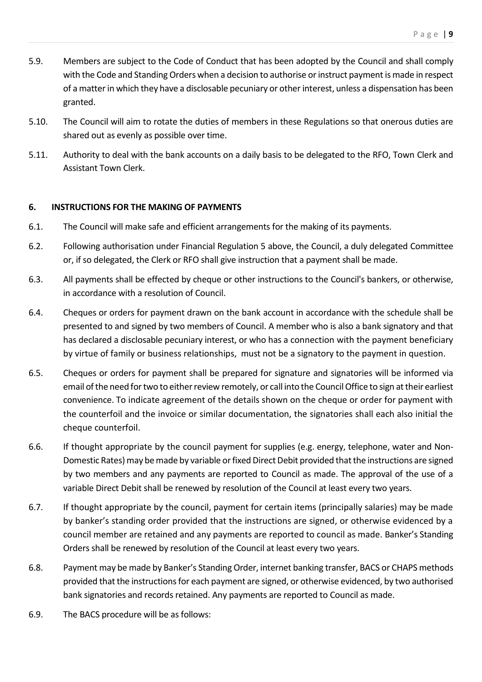- 5.9. Members are subject to the Code of Conduct that has been adopted by the Council and shall comply with the Code and Standing Orders when a decision to authorise or instruct payment is made in respect of a matter in which they have a disclosable pecuniary or other interest, unless a dispensation has been granted.
- 5.10. The Council will aim to rotate the duties of members in these Regulations so that onerous duties are shared out as evenly as possible over time.
- 5.11. Authority to deal with the bank accounts on a daily basis to be delegated to the RFO, Town Clerk and Assistant Town Clerk.

#### **6. INSTRUCTIONS FOR THE MAKING OF PAYMENTS**

- 6.1. The Council will make safe and efficient arrangements for the making of its payments.
- 6.2. Following authorisation under Financial Regulation 5 above, the Council, a duly delegated Committee or, if so delegated, the Clerk or RFO shall give instruction that a payment shall be made.
- 6.3. All payments shall be effected by cheque or other instructions to the Council's bankers, or otherwise, in accordance with a resolution of Council.
- 6.4. Cheques or orders for payment drawn on the bank account in accordance with the schedule shall be presented to and signed by two members of Council. A member who is also a bank signatory and that has declared a disclosable pecuniary interest, or who has a connection with the payment beneficiary by virtue of family or business relationships, must not be a signatory to the payment in question.
- 6.5. Cheques or orders for payment shall be prepared for signature and signatories will be informed via email of the need for two to either review remotely, or call into the Council Office to sign at their earliest convenience. To indicate agreement of the details shown on the cheque or order for payment with the counterfoil and the invoice or similar documentation, the signatories shall each also initial the cheque counterfoil.
- 6.6. If thought appropriate by the council payment for supplies (e.g. energy, telephone, water and Non-Domestic Rates)may be made by variable or fixed Direct Debit provided that the instructions are signed by two members and any payments are reported to Council as made. The approval of the use of a variable Direct Debit shall be renewed by resolution of the Council at least every two years.
- 6.7. If thought appropriate by the council, payment for certain items (principally salaries) may be made by banker's standing order provided that the instructions are signed, or otherwise evidenced by a council member are retained and any payments are reported to council as made. Banker's Standing Orders shall be renewed by resolution of the Council at least every two years.
- 6.8. Payment may be made by Banker's Standing Order, internet banking transfer, BACS or CHAPS methods provided that the instructions for each payment are signed, or otherwise evidenced, by two authorised bank signatories and records retained. Any payments are reported to Council as made.
- 6.9. The BACS procedure will be as follows: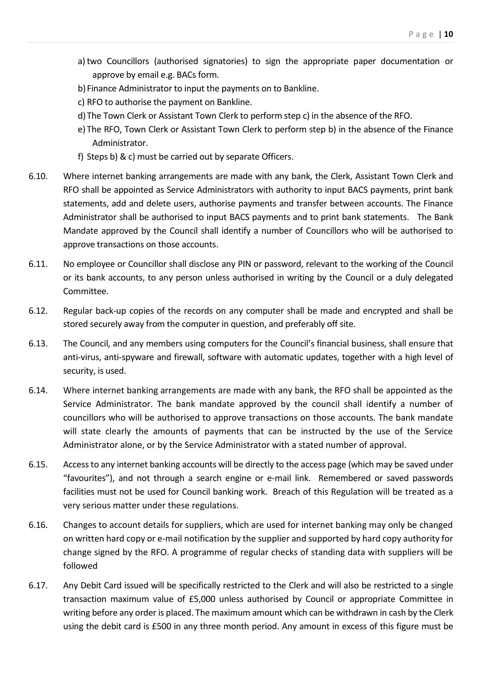- a)two Councillors (authorised signatories) to sign the appropriate paper documentation or approve by email e.g. BACs form.
- b) Finance Administrator to input the payments on to Bankline.
- c) RFO to authorise the payment on Bankline.
- d)The Town Clerk or Assistant Town Clerk to perform step c) in the absence of the RFO.
- e) The RFO, Town Clerk or Assistant Town Clerk to perform step b) in the absence of the Finance Administrator.
- f) Steps b) & c) must be carried out by separate Officers.
- 6.10. Where internet banking arrangements are made with any bank, the Clerk, Assistant Town Clerk and RFO shall be appointed as Service Administrators with authority to input BACS payments, print bank statements, add and delete users, authorise payments and transfer between accounts. The Finance Administrator shall be authorised to input BACS payments and to print bank statements. The Bank Mandate approved by the Council shall identify a number of Councillors who will be authorised to approve transactions on those accounts.
- 6.11. No employee or Councillor shall disclose any PIN or password, relevant to the working of the Council or its bank accounts, to any person unless authorised in writing by the Council or a duly delegated Committee.
- 6.12. Regular back-up copies of the records on any computer shall be made and encrypted and shall be stored securely away from the computer in question, and preferably off site.
- 6.13. The Council, and any members using computers for the Council's financial business, shall ensure that anti-virus, anti-spyware and firewall, software with automatic updates, together with a high level of security, is used.
- 6.14. Where internet banking arrangements are made with any bank, the RFO shall be appointed as the Service Administrator. The bank mandate approved by the council shall identify a number of councillors who will be authorised to approve transactions on those accounts. The bank mandate will state clearly the amounts of payments that can be instructed by the use of the Service Administrator alone, or by the Service Administrator with a stated number of approval.
- 6.15. Access to any internet banking accounts will be directly to the access page (which may be saved under "favourites"), and not through a search engine or e-mail link. Remembered or saved passwords facilities must not be used for Council banking work. Breach of this Regulation will be treated as a very serious matter under these regulations.
- 6.16. Changes to account details for suppliers, which are used for internet banking may only be changed on written hard copy or e-mail notification by the supplier and supported by hard copy authority for change signed by the RFO. A programme of regular checks of standing data with suppliers will be followed
- 6.17. Any Debit Card issued will be specifically restricted to the Clerk and will also be restricted to a single transaction maximum value of £5,000 unless authorised by Council or appropriate Committee in writing before any order is placed. The maximum amount which can be withdrawn in cash by the Clerk using the debit card is £500 in any three month period. Any amount in excess of this figure must be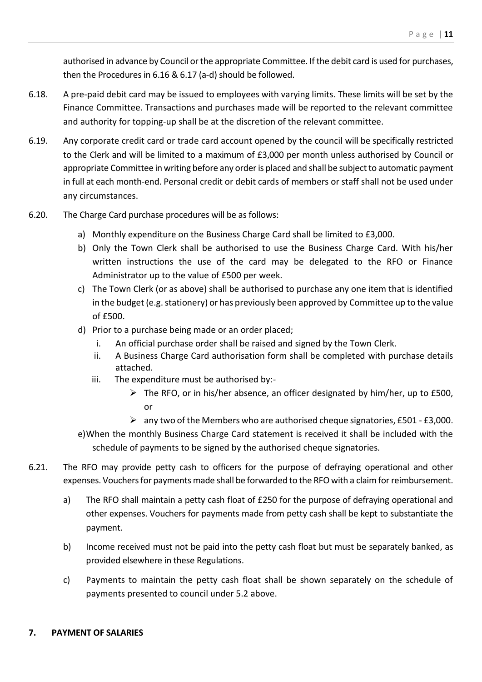authorised in advance by Council or the appropriate Committee. If the debit card is used for purchases, then the Procedures in 6.16 & 6.17 (a-d) should be followed.

- 6.18. A pre-paid debit card may be issued to employees with varying limits. These limits will be set by the Finance Committee. Transactions and purchases made will be reported to the relevant committee and authority for topping-up shall be at the discretion of the relevant committee.
- 6.19. Any corporate credit card or trade card account opened by the council will be specifically restricted to the Clerk and will be limited to a maximum of £3,000 per month unless authorised by Council or appropriate Committee in writing before any order is placed and shall be subject to automatic payment in full at each month-end. Personal credit or debit cards of members or staff shall not be used under any circumstances.
- 6.20. The Charge Card purchase procedures will be as follows:
	- a) Monthly expenditure on the Business Charge Card shall be limited to £3,000.
	- b) Only the Town Clerk shall be authorised to use the Business Charge Card. With his/her written instructions the use of the card may be delegated to the RFO or Finance Administrator up to the value of £500 per week.
	- c) The Town Clerk (or as above) shall be authorised to purchase any one item that is identified in the budget (e.g. stationery) or has previously been approved by Committee up to the value of £500.
	- d) Prior to a purchase being made or an order placed;
		- i. An official purchase order shall be raised and signed by the Town Clerk.
		- ii. A Business Charge Card authorisation form shall be completed with purchase details attached.
		- iii. The expenditure must be authorised by:-
			- $\triangleright$  The RFO, or in his/her absence, an officer designated by him/her, up to £500, or
			- $\triangleright$  any two of the Members who are authorised cheque signatories, £501 £3,000.
	- e)When the monthly Business Charge Card statement is received it shall be included with the schedule of payments to be signed by the authorised cheque signatories*.*
- 6.21. The RFO may provide petty cash to officers for the purpose of defraying operational and other expenses. Vouchers for payments made shall be forwarded to the RFO with a claim for reimbursement.
	- a) The RFO shall maintain a petty cash float of £250 for the purpose of defraying operational and other expenses. Vouchers for payments made from petty cash shall be kept to substantiate the payment.
	- b) Income received must not be paid into the petty cash float but must be separately banked, as provided elsewhere in these Regulations.
	- c) Payments to maintain the petty cash float shall be shown separately on the schedule of payments presented to council under 5.2 above.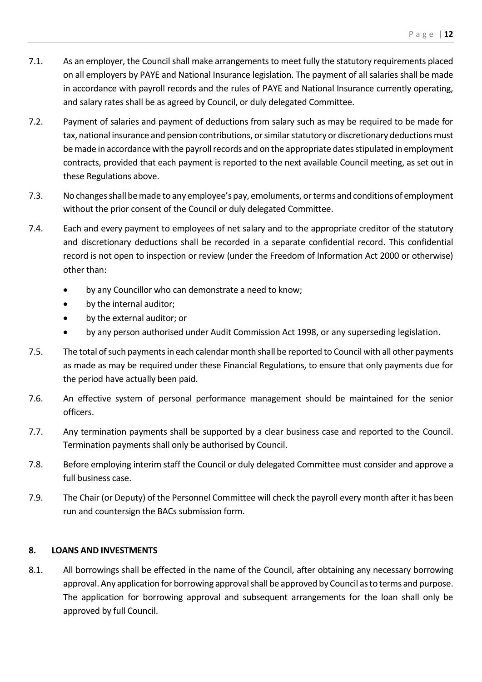- 7.1. As an employer, the Council shall make arrangements to meet fully the statutory requirements placed on all employers by PAYE and National Insurance legislation. The payment of all salaries shall be made in accordance with payroll records and the rules of PAYE and National Insurance currently operating, and salary rates shall be as agreed by Council, or duly delegated Committee.
- 7.2. Payment of salaries and payment of deductions from salary such as may be required to be made for tax, national insurance and pension contributions, or similar statutory or discretionary deductions must be made in accordance with the payroll records and on the appropriate dates stipulated in employment contracts, provided that each payment is reported to the next available Council meeting, as set out in these Regulations above.
- 7.3. No changes shall be made to any employee's pay, emoluments, or terms and conditions of employment without the prior consent of the Council or duly delegated Committee.
- 7.4. Each and every payment to employees of net salary and to the appropriate creditor of the statutory and discretionary deductions shall be recorded in a separate confidential record. This confidential record is not open to inspection or review (under the Freedom of Information Act 2000 or otherwise) other than:
	- by any Councillor who can demonstrate a need to know;
	- by the internal auditor;
	- by the external auditor; or
	- by any person authorised under Audit Commission Act 1998, or any superseding legislation.
- 7.5. The total of such payments in each calendar month shall be reported to Council with all other payments as made as may be required under these Financial Regulations, to ensure that only payments due for the period have actually been paid.
- 7.6. An effective system of personal performance management should be maintained for the senior officers.
- 7.7. Any termination payments shall be supported by a clear business case and reported to the Council. Termination payments shall only be authorised by Council.
- 7.8. Before employing interim staff the Council or duly delegated Committee must consider and approve a full business case.
- 7.9. The Chair (or Deputy) of the Personnel Committee will check the payroll every month after it has been run and countersign the BACs submission form.

#### **8. LOANS AND INVESTMENTS**

8.1. All borrowings shall be effected in the name of the Council, after obtaining any necessary borrowing approval. Any application for borrowing approval shall be approved by Council as to terms and purpose. The application for borrowing approval and subsequent arrangements for the loan shall only be approved by full Council.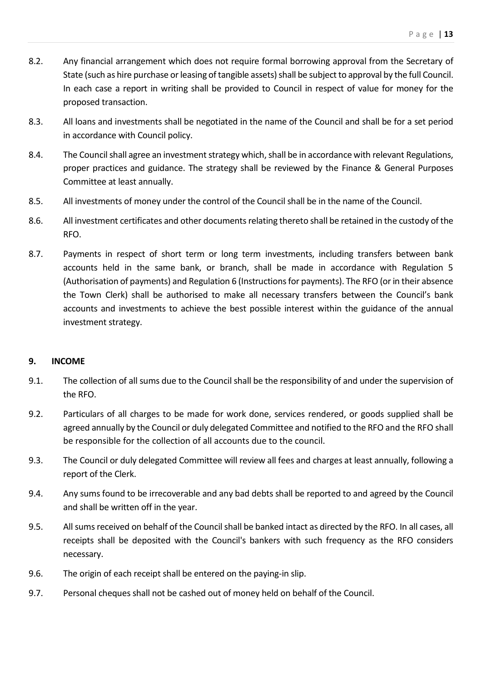- 8.2. Any financial arrangement which does not require formal borrowing approval from the Secretary of State (such as hire purchase or leasing of tangible assets) shall be subject to approval by the full Council. In each case a report in writing shall be provided to Council in respect of value for money for the proposed transaction.
- 8.3. All loans and investments shall be negotiated in the name of the Council and shall be for a set period in accordance with Council policy.
- 8.4. The Council shall agree an investment strategy which, shall be in accordance with relevant Regulations, proper practices and guidance. The strategy shall be reviewed by the Finance & General Purposes Committee at least annually.
- 8.5. All investments of money under the control of the Council shall be in the name of the Council.
- 8.6. All investment certificates and other documents relating thereto shall be retained in the custody of the RFO.
- 8.7. Payments in respect of short term or long term investments, including transfers between bank accounts held in the same bank, or branch, shall be made in accordance with Regulation 5 (Authorisation of payments) and Regulation 6 (Instructions for payments). The RFO (or in their absence the Town Clerk) shall be authorised to make all necessary transfers between the Council's bank accounts and investments to achieve the best possible interest within the guidance of the annual investment strategy.

#### **9. INCOME**

- 9.1. The collection of all sums due to the Council shall be the responsibility of and under the supervision of the RFO.
- 9.2. Particulars of all charges to be made for work done, services rendered, or goods supplied shall be agreed annually by the Council or duly delegated Committee and notified to the RFO and the RFO shall be responsible for the collection of all accounts due to the council.
- 9.3. The Council or duly delegated Committee will review all fees and charges at least annually, following a report of the Clerk.
- 9.4. Any sums found to be irrecoverable and any bad debts shall be reported to and agreed by the Council and shall be written off in the year.
- 9.5. All sums received on behalf of the Council shall be banked intact as directed by the RFO. In all cases, all receipts shall be deposited with the Council's bankers with such frequency as the RFO considers necessary.
- 9.6. The origin of each receipt shall be entered on the paying-in slip.
- 9.7. Personal cheques shall not be cashed out of money held on behalf of the Council.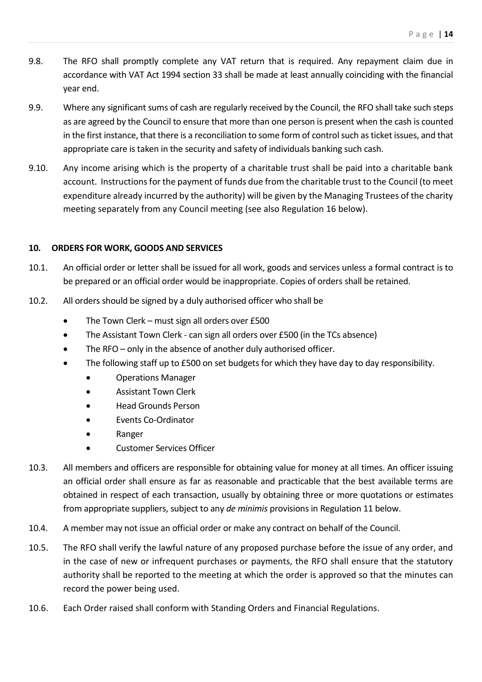- 9.8. The RFO shall promptly complete any VAT return that is required. Any repayment claim due in accordance with VAT Act 1994 section 33 shall be made at least annually coinciding with the financial year end.
- 9.9. Where any significant sums of cash are regularly received by the Council, the RFO shall take such steps as are agreed by the Council to ensure that more than one person is present when the cash is counted in the first instance, that there is a reconciliation to some form of control such as ticket issues, and that appropriate care is taken in the security and safety of individuals banking such cash.
- 9.10. Any income arising which is the property of a charitable trust shall be paid into a charitable bank account. Instructions for the payment of funds due from the charitable trust to the Council (to meet expenditure already incurred by the authority) will be given by the Managing Trustees of the charity meeting separately from any Council meeting (see also Regulation 16 below).

#### **10. ORDERS FOR WORK, GOODS AND SERVICES**

- 10.1. An official order or letter shall be issued for all work, goods and services unless a formal contract is to be prepared or an official order would be inappropriate. Copies of orders shall be retained.
- 10.2. All orders should be signed by a duly authorised officer who shall be
	- The Town Clerk must sign all orders over £500
	- The Assistant Town Clerk can sign all orders over £500 (in the TCs absence)
	- The RFO only in the absence of another duly authorised officer.
	- The following staff up to £500 on set budgets for which they have day to day responsibility.
		- Operations Manager
		- Assistant Town Clerk
		- Head Grounds Person
		- Events Co-Ordinator
		- Ranger
		- Customer Services Officer
- 10.3. All members and officers are responsible for obtaining value for money at all times. An officer issuing an official order shall ensure as far as reasonable and practicable that the best available terms are obtained in respect of each transaction, usually by obtaining three or more quotations or estimates from appropriate suppliers, subject to any *de minimis* provisions in Regulation 11 below.
- 10.4. A member may not issue an official order or make any contract on behalf of the Council.
- 10.5. The RFO shall verify the lawful nature of any proposed purchase before the issue of any order, and in the case of new or infrequent purchases or payments, the RFO shall ensure that the statutory authority shall be reported to the meeting at which the order is approved so that the minutes can record the power being used.
- 10.6. Each Order raised shall conform with Standing Orders and Financial Regulations.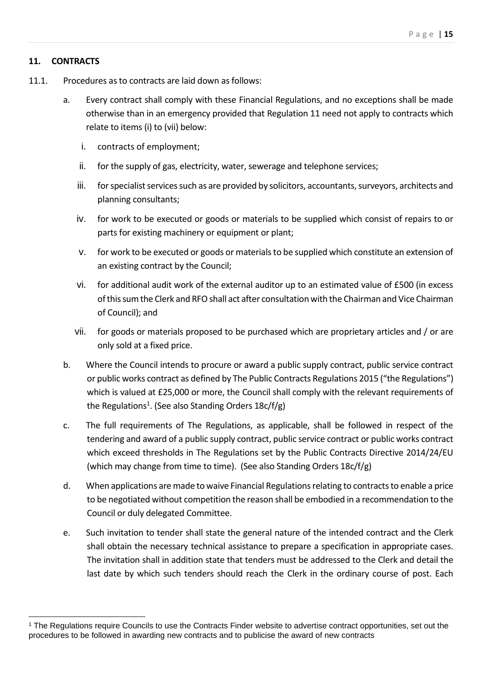#### **11. CONTRACTS**

- 11.1. Procedures as to contracts are laid down as follows:
	- a. Every contract shall comply with these Financial Regulations, and no exceptions shall be made otherwise than in an emergency provided that Regulation 11 need not apply to contracts which relate to items (i) to (vii) below:
		- i. contracts of employment;
		- ii. for the supply of gas, electricity, water, sewerage and telephone services;
		- iii. for specialist services such as are provided by solicitors, accountants, surveyors, architects and planning consultants;
		- iv. for work to be executed or goods or materials to be supplied which consist of repairs to or parts for existing machinery or equipment or plant;
		- v. for work to be executed or goods or materials to be supplied which constitute an extension of an existing contract by the Council;
		- vi. for additional audit work of the external auditor up to an estimated value of £500 (in excess of this sum the Clerk and RFO shall act after consultation with the Chairman and Vice Chairman of Council); and
		- vii. for goods or materials proposed to be purchased which are proprietary articles and / or are only sold at a fixed price.
	- b. Where the Council intends to procure or award a public supply contract, public service contract or public works contract as defined by The Public Contracts Regulations 2015 ("the Regulations") which is valued at £25,000 or more, the Council shall comply with the relevant requirements of the Regulations<sup>1</sup>. (See also Standing Orders 18c/f/g)
	- c. The full requirements of The Regulations, as applicable, shall be followed in respect of the tendering and award of a public supply contract, public service contract or public works contract which exceed thresholds in The Regulations set by the Public Contracts Directive 2014/24/EU (which may change from time to time). (See also Standing Orders 18c/f/g)
	- d. When applications are made to waive Financial Regulations relating to contracts to enable a price to be negotiated without competition the reason shall be embodied in a recommendation to the Council or duly delegated Committee.
	- e. Such invitation to tender shall state the general nature of the intended contract and the Clerk shall obtain the necessary technical assistance to prepare a specification in appropriate cases. The invitation shall in addition state that tenders must be addressed to the Clerk and detail the last date by which such tenders should reach the Clerk in the ordinary course of post. Each

<sup>1</sup> The Regulations require Councils to use the Contracts Finder website to advertise contract opportunities, set out the procedures to be followed in awarding new contracts and to publicise the award of new contracts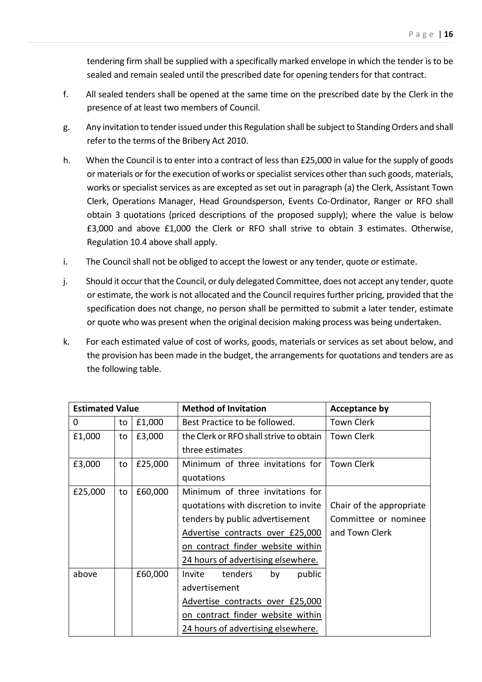tendering firm shall be supplied with a specifically marked envelope in which the tender is to be sealed and remain sealed until the prescribed date for opening tenders for that contract.

- f. All sealed tenders shall be opened at the same time on the prescribed date by the Clerk in the presence of at least two members of Council.
- g. Any invitation to tender issued under this Regulation shall be subject to Standing Orders and shall refer to the terms of the Bribery Act 2010.
- h. When the Council is to enter into a contract of less than £25,000 in value for the supply of goods or materials or for the execution of works or specialist services other than such goods, materials, works or specialist services as are excepted as set out in paragraph (a) the Clerk, Assistant Town Clerk, Operations Manager, Head Groundsperson, Events Co-Ordinator, Ranger or RFO shall obtain 3 quotations (priced descriptions of the proposed supply); where the value is below £3,000 and above £1,000 the Clerk or RFO shall strive to obtain 3 estimates. Otherwise, Regulation 10.4 above shall apply.
- i. The Council shall not be obliged to accept the lowest or any tender, quote or estimate.
- j. Should it occur that the Council, or duly delegated Committee, does not accept any tender, quote or estimate, the work is not allocated and the Council requires further pricing, provided that the specification does not change, no person shall be permitted to submit a later tender, estimate or quote who was present when the original decision making process was being undertaken.
- k. For each estimated value of cost of works, goods, materials or services as set about below, and the provision has been made in the budget, the arrangements for quotations and tenders are as the following table.

| <b>Estimated Value</b><br><b>Method of Invitation</b> |    | <b>Acceptance by</b> |                                         |                          |
|-------------------------------------------------------|----|----------------------|-----------------------------------------|--------------------------|
| 0                                                     | to | £1,000               | Best Practice to be followed.           | <b>Town Clerk</b>        |
| £1,000                                                | to | £3,000               | the Clerk or RFO shall strive to obtain | <b>Town Clerk</b>        |
|                                                       |    |                      | three estimates                         |                          |
| £3,000                                                | to | £25,000              | Minimum of three invitations for        | Town Clerk               |
|                                                       |    |                      | quotations                              |                          |
| £25,000                                               | to | £60,000              | Minimum of three invitations for        |                          |
|                                                       |    |                      | quotations with discretion to invite    | Chair of the appropriate |
|                                                       |    |                      | tenders by public advertisement         | Committee or nominee     |
|                                                       |    |                      | Advertise contracts over £25,000        | and Town Clerk           |
|                                                       |    |                      | on contract finder website within       |                          |
|                                                       |    |                      | 24 hours of advertising elsewhere.      |                          |
| above                                                 |    | £60,000              | by<br>public<br>Invite<br>tenders       |                          |
|                                                       |    |                      | advertisement                           |                          |
|                                                       |    |                      | Advertise contracts over £25,000        |                          |
|                                                       |    |                      | on contract finder website within       |                          |
|                                                       |    |                      | 24 hours of advertising elsewhere.      |                          |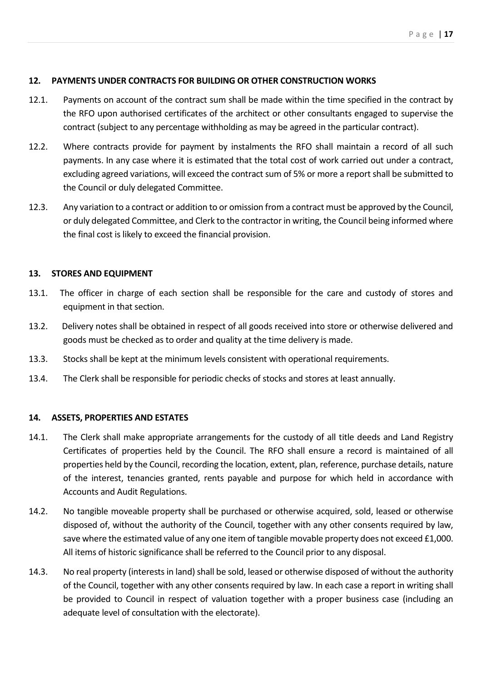#### **12. PAYMENTS UNDER CONTRACTS FOR BUILDING OR OTHER CONSTRUCTION WORKS**

- 12.1. Payments on account of the contract sum shall be made within the time specified in the contract by the RFO upon authorised certificates of the architect or other consultants engaged to supervise the contract (subject to any percentage withholding as may be agreed in the particular contract).
- 12.2. Where contracts provide for payment by instalments the RFO shall maintain a record of all such payments. In any case where it is estimated that the total cost of work carried out under a contract, excluding agreed variations, will exceed the contract sum of 5% or more a report shall be submitted to the Council or duly delegated Committee.
- 12.3. Any variation to a contract or addition to or omission from a contract must be approved by the Council, or duly delegated Committee, and Clerk to the contractor in writing, the Council being informed where the final cost is likely to exceed the financial provision.

#### **13. STORES AND EQUIPMENT**

- 13.1. The officer in charge of each section shall be responsible for the care and custody of stores and equipment in that section.
- 13.2. Delivery notes shall be obtained in respect of all goods received into store or otherwise delivered and goods must be checked as to order and quality at the time delivery is made.
- 13.3. Stocks shall be kept at the minimum levels consistent with operational requirements.
- 13.4. The Clerk shall be responsible for periodic checks of stocks and stores at least annually.

### **14. ASSETS, PROPERTIES AND ESTATES**

- 14.1. The Clerk shall make appropriate arrangements for the custody of all title deeds and Land Registry Certificates of properties held by the Council. The RFO shall ensure a record is maintained of all properties held by the Council, recording the location, extent, plan, reference, purchase details, nature of the interest, tenancies granted, rents payable and purpose for which held in accordance with Accounts and Audit Regulations.
- 14.2. No tangible moveable property shall be purchased or otherwise acquired, sold, leased or otherwise disposed of, without the authority of the Council, together with any other consents required by law, save where the estimated value of any one item of tangible movable property does not exceed £1,000. All items of historic significance shall be referred to the Council prior to any disposal.
- 14.3. No real property (interests in land) shall be sold, leased or otherwise disposed of without the authority of the Council, together with any other consents required by law. In each case a report in writing shall be provided to Council in respect of valuation together with a proper business case (including an adequate level of consultation with the electorate).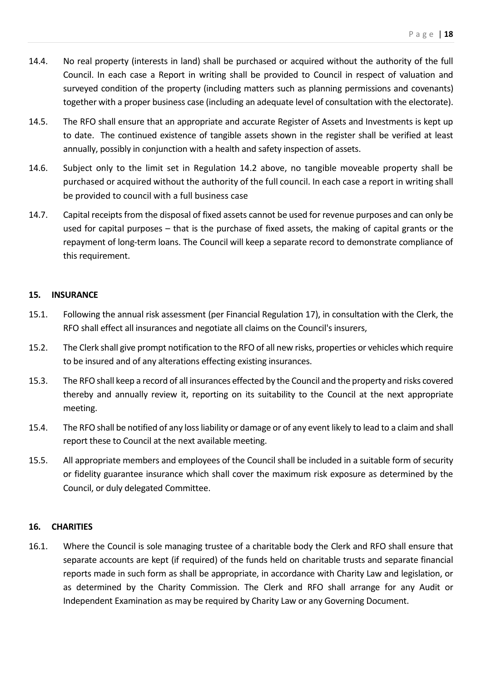- 14.4. No real property (interests in land) shall be purchased or acquired without the authority of the full Council. In each case a Report in writing shall be provided to Council in respect of valuation and surveyed condition of the property (including matters such as planning permissions and covenants) together with a proper business case (including an adequate level of consultation with the electorate).
- 14.5. The RFO shall ensure that an appropriate and accurate Register of Assets and Investments is kept up to date. The continued existence of tangible assets shown in the register shall be verified at least annually, possibly in conjunction with a health and safety inspection of assets.
- 14.6. Subject only to the limit set in Regulation 14.2 above, no tangible moveable property shall be purchased or acquired without the authority of the full council. In each case a report in writing shall be provided to council with a full business case
- 14.7. Capital receipts from the disposal of fixed assets cannot be used for revenue purposes and can only be used for capital purposes – that is the purchase of fixed assets, the making of capital grants or the repayment of long-term loans. The Council will keep a separate record to demonstrate compliance of this requirement.

#### **15. INSURANCE**

- 15.1. Following the annual risk assessment (per Financial Regulation 17), in consultation with the Clerk, the RFO shall effect all insurances and negotiate all claims on the Council's insurers,
- 15.2. The Clerk shall give prompt notification to the RFO of all new risks, properties or vehicles which require to be insured and of any alterations effecting existing insurances.
- 15.3. The RFO shall keep a record of all insurances effected by the Council and the property and risks covered thereby and annually review it, reporting on its suitability to the Council at the next appropriate meeting.
- 15.4. The RFO shall be notified of any loss liability or damage or of any event likely to lead to a claim and shall report these to Council at the next available meeting.
- 15.5. All appropriate members and employees of the Council shall be included in a suitable form of security or fidelity guarantee insurance which shall cover the maximum risk exposure as determined by the Council, or duly delegated Committee.

#### **16. CHARITIES**

16.1. Where the Council is sole managing trustee of a charitable body the Clerk and RFO shall ensure that separate accounts are kept (if required) of the funds held on charitable trusts and separate financial reports made in such form as shall be appropriate, in accordance with Charity Law and legislation, or as determined by the Charity Commission. The Clerk and RFO shall arrange for any Audit or Independent Examination as may be required by Charity Law or any Governing Document.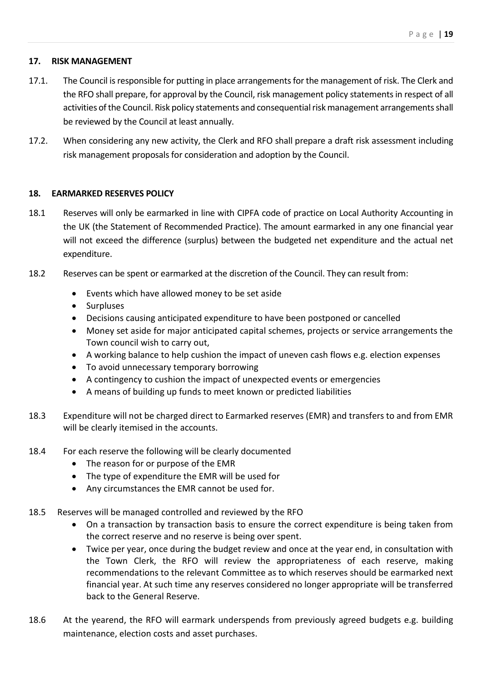#### **17. RISK MANAGEMENT**

- 17.1. The Council is responsible for putting in place arrangements for the management of risk. The Clerk and the RFO shall prepare, for approval by the Council, risk management policy statements in respect of all activities of the Council. Risk policy statements and consequential risk management arrangements shall be reviewed by the Council at least annually.
- 17.2. When considering any new activity, the Clerk and RFO shall prepare a draft risk assessment including risk management proposals for consideration and adoption by the Council.

#### **18. EARMARKED RESERVES POLICY**

- 18.1 Reserves will only be earmarked in line with CIPFA code of practice on Local Authority Accounting in the UK (the Statement of Recommended Practice). The amount earmarked in any one financial year will not exceed the difference (surplus) between the budgeted net expenditure and the actual net expenditure.
- 18.2 Reserves can be spent or earmarked at the discretion of the Council. They can result from:
	- Events which have allowed money to be set aside
	- Surpluses
	- Decisions causing anticipated expenditure to have been postponed or cancelled
	- Money set aside for major anticipated capital schemes, projects or service arrangements the Town council wish to carry out,
	- A working balance to help cushion the impact of uneven cash flows e.g. election expenses
	- To avoid unnecessary temporary borrowing
	- A contingency to cushion the impact of unexpected events or emergencies
	- A means of building up funds to meet known or predicted liabilities
- 18.3 Expenditure will not be charged direct to Earmarked reserves (EMR) and transfers to and from EMR will be clearly itemised in the accounts.
- 18.4 For each reserve the following will be clearly documented
	- The reason for or purpose of the EMR
	- The type of expenditure the EMR will be used for
	- Any circumstances the EMR cannot be used for.
- 18.5 Reserves will be managed controlled and reviewed by the RFO
	- On a transaction by transaction basis to ensure the correct expenditure is being taken from the correct reserve and no reserve is being over spent.
	- Twice per year, once during the budget review and once at the year end, in consultation with the Town Clerk, the RFO will review the appropriateness of each reserve, making recommendations to the relevant Committee as to which reserves should be earmarked next financial year. At such time any reserves considered no longer appropriate will be transferred back to the General Reserve.
- 18.6 At the yearend, the RFO will earmark underspends from previously agreed budgets e.g. building maintenance, election costs and asset purchases.